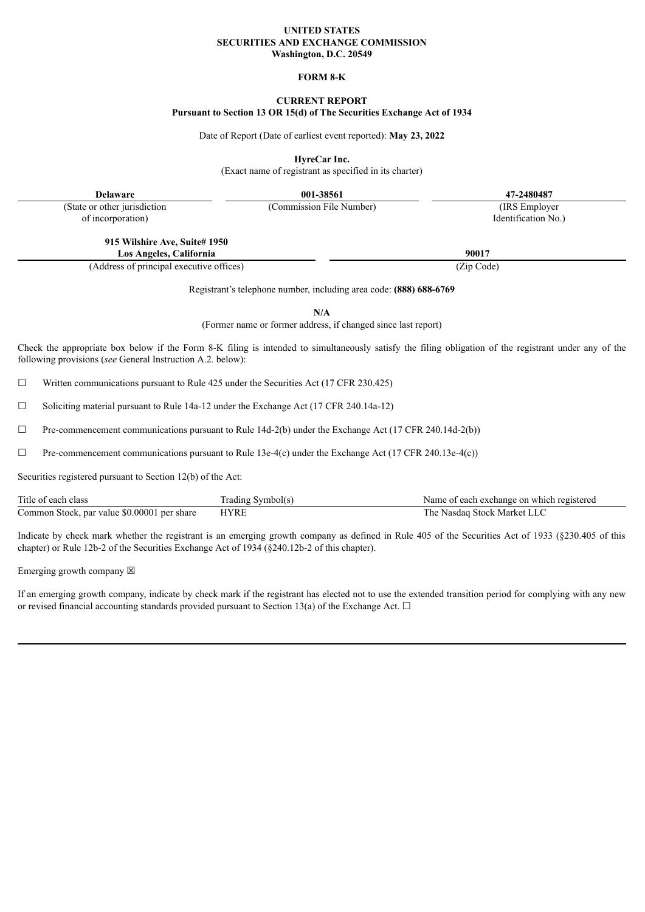#### **UNITED STATES SECURITIES AND EXCHANGE COMMISSION Washington, D.C. 20549**

### **FORM 8-K**

# **CURRENT REPORT**

#### **Pursuant to Section 13 OR 15(d) of The Securities Exchange Act of 1934**

Date of Report (Date of earliest event reported): **May 23, 2022**

**HyreCar Inc.**

(Exact name of registrant as specified in its charter)

**Delaware 001-38561 47-2480487**

(State or other jurisdiction of incorporation)

> **915 Wilshire Ave, Suite# 1950 Los Angeles, California 90017**

(Address of principal executive offices) (Zip Code)

Registrant's telephone number, including area code: **(888) 688-6769**

**N/A**

(Former name or former address, if changed since last report)

Check the appropriate box below if the Form 8-K filing is intended to simultaneously satisfy the filing obligation of the registrant under any of the following provisions (*see* General Instruction A.2. below):

☐ Written communications pursuant to Rule 425 under the Securities Act (17 CFR 230.425)

☐ Soliciting material pursuant to Rule 14a-12 under the Exchange Act (17 CFR 240.14a-12)

 $\Box$  Pre-commencement communications pursuant to Rule 14d-2(b) under the Exchange Act (17 CFR 240.14d-2(b))

 $\Box$  Pre-commencement communications pursuant to Rule 13e-4(c) under the Exchange Act (17 CFR 240.13e-4(c))

Securities registered pursuant to Section 12(b) of the Act:

| Title of each class                         | Trading Symbol(s) | Name of each exchange on which registered |
|---------------------------------------------|-------------------|-------------------------------------------|
| Common Stock, par value \$0.00001 per share | <b>HYRE</b>       | The Nasdaq Stock Market LLC               |

Indicate by check mark whether the registrant is an emerging growth company as defined in Rule 405 of the Securities Act of 1933 (§230.405 of this chapter) or Rule 12b-2 of the Securities Exchange Act of 1934 (§240.12b-2 of this chapter).

Emerging growth company  $\boxtimes$ 

If an emerging growth company, indicate by check mark if the registrant has elected not to use the extended transition period for complying with any new or revised financial accounting standards provided pursuant to Section 13(a) of the Exchange Act.  $\Box$ 

(Commission File Number) (IRS Employer Identification No.)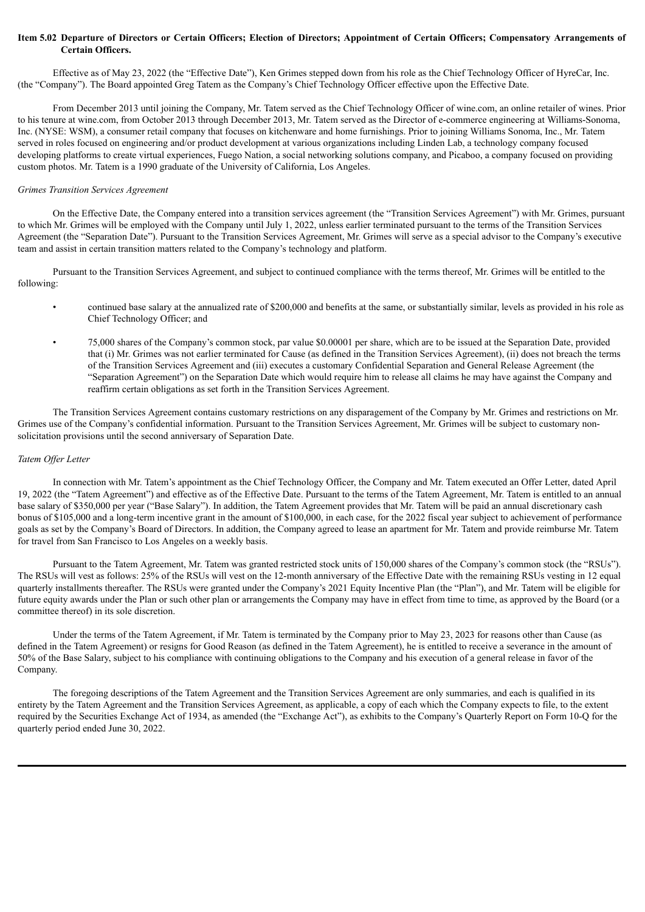#### Item 5.02 Departure of Directors or Certain Officers; Election of Directors; Appointment of Certain Officers; Compensatory Arrangements of **Certain Officers.**

Effective as of May 23, 2022 (the "Effective Date"), Ken Grimes stepped down from his role as the Chief Technology Officer of HyreCar, Inc. (the "Company"). The Board appointed Greg Tatem as the Company's Chief Technology Officer effective upon the Effective Date.

From December 2013 until joining the Company, Mr. Tatem served as the Chief Technology Officer of wine.com, an online retailer of wines. Prior to his tenure at wine.com, from October 2013 through December 2013, Mr. Tatem served as the Director of e-commerce engineering at Williams-Sonoma, Inc. (NYSE: WSM), a consumer retail company that focuses on kitchenware and home furnishings. Prior to joining Williams Sonoma, Inc., Mr. Tatem served in roles focused on engineering and/or product development at various organizations including Linden Lab, a technology company focused developing platforms to create virtual experiences, Fuego Nation, a social networking solutions company, and Picaboo, a company focused on providing custom photos. Mr. Tatem is a 1990 graduate of the University of California, Los Angeles.

#### *Grimes Transition Services Agreement*

On the Effective Date, the Company entered into a transition services agreement (the "Transition Services Agreement") with Mr. Grimes, pursuant to which Mr. Grimes will be employed with the Company until July 1, 2022, unless earlier terminated pursuant to the terms of the Transition Services Agreement (the "Separation Date"). Pursuant to the Transition Services Agreement, Mr. Grimes will serve as a special advisor to the Company's executive team and assist in certain transition matters related to the Company's technology and platform.

Pursuant to the Transition Services Agreement, and subject to continued compliance with the terms thereof, Mr. Grimes will be entitled to the following:

- continued base salary at the annualized rate of \$200,000 and benefits at the same, or substantially similar, levels as provided in his role as Chief Technology Officer; and
- 75,000 shares of the Company's common stock, par value \$0.00001 per share, which are to be issued at the Separation Date, provided that (i) Mr. Grimes was not earlier terminated for Cause (as defined in the Transition Services Agreement), (ii) does not breach the terms of the Transition Services Agreement and (iii) executes a customary Confidential Separation and General Release Agreement (the "Separation Agreement") on the Separation Date which would require him to release all claims he may have against the Company and reaffirm certain obligations as set forth in the Transition Services Agreement.

The Transition Services Agreement contains customary restrictions on any disparagement of the Company by Mr. Grimes and restrictions on Mr. Grimes use of the Company's confidential information. Pursuant to the Transition Services Agreement, Mr. Grimes will be subject to customary nonsolicitation provisions until the second anniversary of Separation Date.

#### *Tatem Of er Letter*

In connection with Mr. Tatem's appointment as the Chief Technology Officer, the Company and Mr. Tatem executed an Offer Letter, dated April 19, 2022 (the "Tatem Agreement") and effective as of the Effective Date. Pursuant to the terms of the Tatem Agreement, Mr. Tatem is entitled to an annual base salary of \$350,000 per year ("Base Salary"). In addition, the Tatem Agreement provides that Mr. Tatem will be paid an annual discretionary cash bonus of \$105,000 and a long-term incentive grant in the amount of \$100,000, in each case, for the 2022 fiscal year subject to achievement of performance goals as set by the Company's Board of Directors. In addition, the Company agreed to lease an apartment for Mr. Tatem and provide reimburse Mr. Tatem for travel from San Francisco to Los Angeles on a weekly basis.

Pursuant to the Tatem Agreement, Mr. Tatem was granted restricted stock units of 150,000 shares of the Company's common stock (the "RSUs"). The RSUs will vest as follows: 25% of the RSUs will vest on the 12-month anniversary of the Effective Date with the remaining RSUs vesting in 12 equal quarterly installments thereafter. The RSUs were granted under the Company's 2021 Equity Incentive Plan (the "Plan"), and Mr. Tatem will be eligible for future equity awards under the Plan or such other plan or arrangements the Company may have in effect from time to time, as approved by the Board (or a committee thereof) in its sole discretion.

Under the terms of the Tatem Agreement, if Mr. Tatem is terminated by the Company prior to May 23, 2023 for reasons other than Cause (as defined in the Tatem Agreement) or resigns for Good Reason (as defined in the Tatem Agreement), he is entitled to receive a severance in the amount of 50% of the Base Salary, subject to his compliance with continuing obligations to the Company and his execution of a general release in favor of the Company.

The foregoing descriptions of the Tatem Agreement and the Transition Services Agreement are only summaries, and each is qualified in its entirety by the Tatem Agreement and the Transition Services Agreement, as applicable, a copy of each which the Company expects to file, to the extent required by the Securities Exchange Act of 1934, as amended (the "Exchange Act"), as exhibits to the Company's Quarterly Report on Form 10-Q for the quarterly period ended June 30, 2022.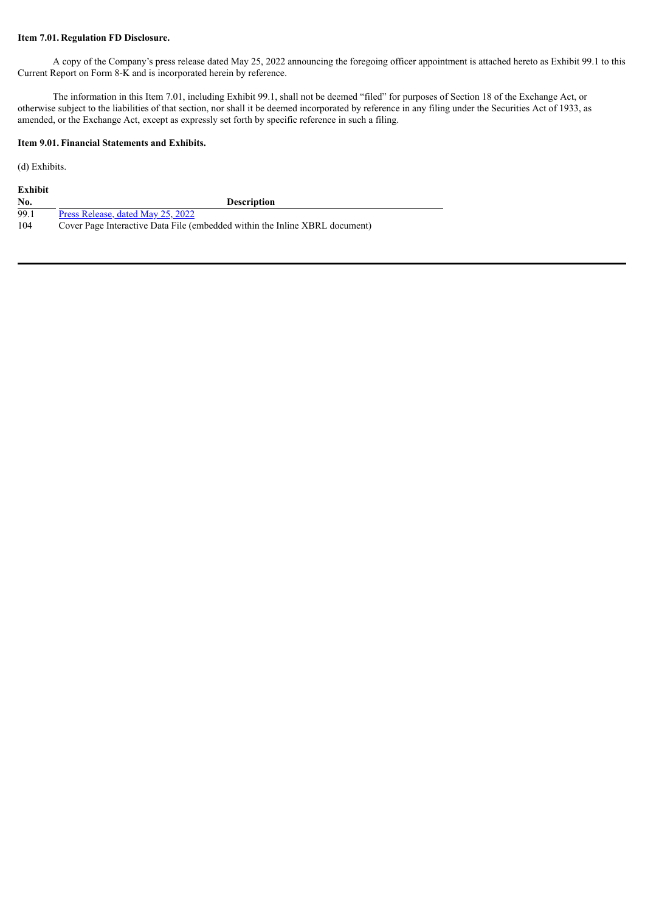## **Item 7.01. Regulation FD Disclosure.**

A copy of the Company's press release dated May 25, 2022 announcing the foregoing officer appointment is attached hereto as Exhibit 99.1 to this Current Report on Form 8-K and is incorporated herein by reference.

The information in this Item 7.01, including Exhibit 99.1, shall not be deemed "filed" for purposes of Section 18 of the Exchange Act, or otherwise subject to the liabilities of that section, nor shall it be deemed incorporated by reference in any filing under the Securities Act of 1933, as amended, or the Exchange Act, except as expressly set forth by specific reference in such a filing.

## **Item 9.01. Financial Statements and Exhibits.**

(d) Exhibits.

| Exhibit |
|---------|
|---------|

| No. | <b>Description</b> |
|-----|--------------------|
|     |                    |

- 99.1 Press [Release,](#page-4-0) dated May 25, 2022<br>104 Cover Page Interactive Data File (e
- Cover Page Interactive Data File (embedded within the Inline XBRL document)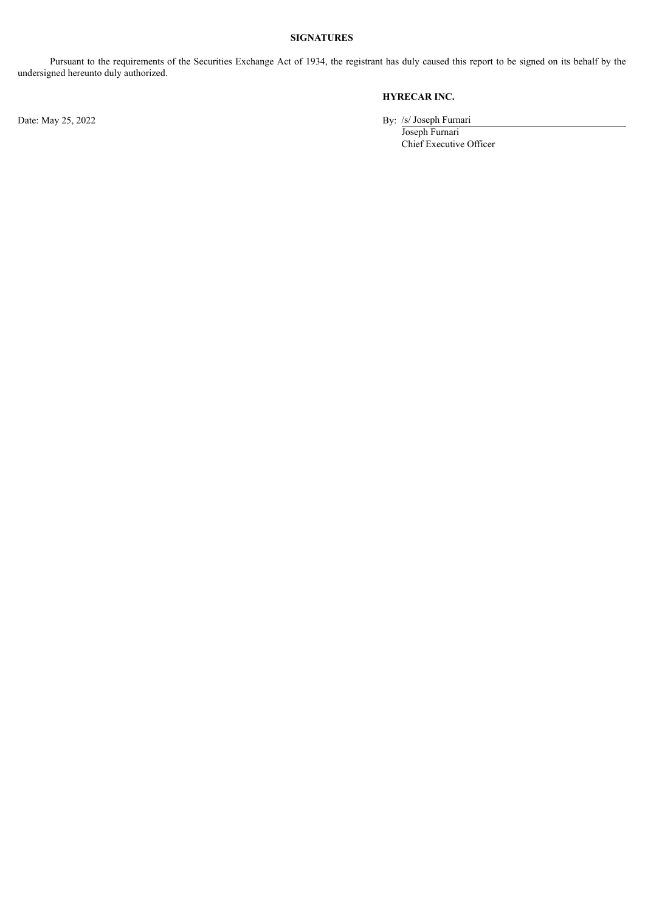# **SIGNATURES**

Pursuant to the requirements of the Securities Exchange Act of 1934, the registrant has duly caused this report to be signed on its behalf by the undersigned hereunto duly authorized.

# **HYRECAR INC.**

Date: May 25, 2022 By: /s/ Joseph Furnari

Joseph Furnari Chief Executive Officer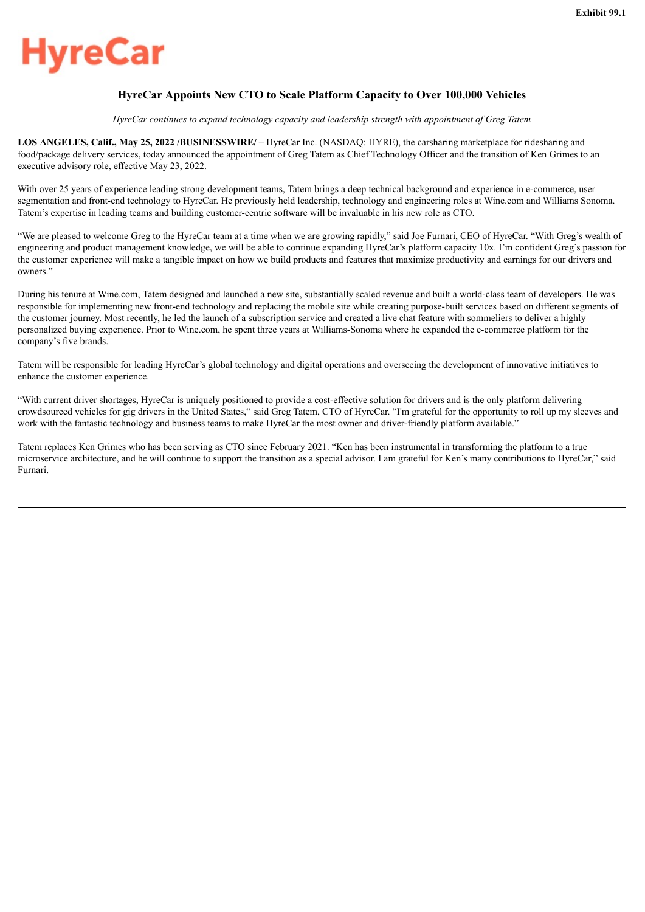# <span id="page-4-0"></span>vreCar

# **HyreCar Appoints New CTO to Scale Platform Capacity to Over 100,000 Vehicles**

*HyreCar continues to expand technology capacity and leadership strength with appointment of Greg Tatem*

**LOS ANGELES, Calif., May 25, 2022 /BUSINESSWIRE/** – HyreCar Inc. (NASDAQ: HYRE), the carsharing marketplace for ridesharing and food/package delivery services, today announced the appointment of Greg Tatem as Chief Technology Officer and the transition of Ken Grimes to an executive advisory role, effective May 23, 2022.

With over 25 years of experience leading strong development teams. Tatem brings a deep technical background and experience in e-commerce, user segmentation and front-end technology to HyreCar. He previously held leadership, technology and engineering roles at Wine.com and Williams Sonoma. Tatem's expertise in leading teams and building customer-centric software will be invaluable in his new role as CTO.

"We are pleased to welcome Greg to the HyreCar team at a time when we are growing rapidly," said Joe Furnari, CEO of HyreCar. "With Greg's wealth of engineering and product management knowledge, we will be able to continue expanding HyreCar's platform capacity 10x. I'm confident Greg's passion for the customer experience will make a tangible impact on how we build products and features that maximize productivity and earnings for our drivers and owners."

During his tenure at Wine.com, Tatem designed and launched a new site, substantially scaled revenue and built a world-class team of developers. He was responsible for implementing new front-end technology and replacing the mobile site while creating purpose-built services based on different segments of the customer journey. Most recently, he led the launch of a subscription service and created a live chat feature with sommeliers to deliver a highly personalized buying experience. Prior to Wine.com, he spent three years at Williams-Sonoma where he expanded the e-commerce platform for the company's five brands.

Tatem will be responsible for leading HyreCar's global technology and digital operations and overseeing the development of innovative initiatives to enhance the customer experience.

"With current driver shortages, HyreCar is uniquely positioned to provide a cost-effective solution for drivers and is the only platform delivering crowdsourced vehicles for gig drivers in the United States," said Greg Tatem, CTO of HyreCar. "I'm grateful for the opportunity to roll up my sleeves and work with the fantastic technology and business teams to make HyreCar the most owner and driver-friendly platform available."

Tatem replaces Ken Grimes who has been serving as CTO since February 2021. "Ken has been instrumental in transforming the platform to a true microservice architecture, and he will continue to support the transition as a special advisor. I am grateful for Ken's many contributions to HyreCar," said Furnari.